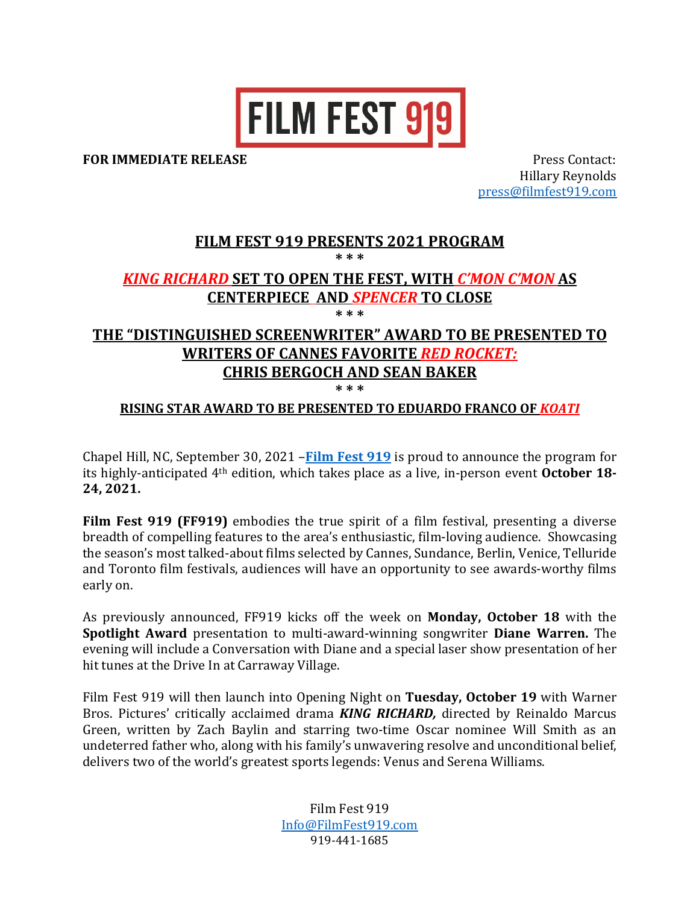

**FOR IMMEDIATE RELEASE** *N <b>IMMEDIATE RELEASE <i>N IMMEDIATE RELEASE B <i>IMMEDIATE <b>RELEASE* 

Hillary Reynolds press@filmfest919.com

# **FILM FEST 919 PRESENTS 2021 PROGRAM \* \* \***

## *KING RICHARD* **SET TO OPEN THE FEST, WITH** *C'MON C'MON* **AS CENTERPIECE****AND** *SPENCER* **TO CLOSE**

**\* \* \***

# THE "DISTINGUISHED SCREENWRITER" AWARD TO BE PRESENTED TO **WRITERS OF CANNES FAVORITE** *RED ROCKET:* **CHRIS BERGOCH AND SEAN BAKER**

**\* \* \***

## **RISING STAR AWARD TO BE PRESENTED TO EDUARDO FRANCO OF** *KOATI*

Chapel Hill, NC, September 30, 2021 – Film Fest 919 is proud to announce the program for its highly-anticipated 4<sup>th</sup> edition, which takes place as a live, in-person event **October 18-**24, 2021.

**Film Fest 919 (FF919)** embodies the true spirit of a film festival, presenting a diverse breadth of compelling features to the area's enthusiastic, film-loving audience. Showcasing the season's most talked-about films selected by Cannes, Sundance, Berlin, Venice, Telluride and Toronto film festivals, audiences will have an opportunity to see awards-worthy films early on.

As previously announced, FF919 kicks off the week on **Monday, October 18** with the **Spotlight Award** presentation to multi-award-winning songwriter **Diane Warren.** The evening will include a Conversation with Diane and a special laser show presentation of her hit tunes at the Drive In at Carraway Village.

Film Fest 919 will then launch into Opening Night on Tuesday, October 19 with Warner Bros. Pictures' critically acclaimed drama *KING RICHARD*, directed by Reinaldo Marcus Green, written by Zach Baylin and starring two-time Oscar nominee Will Smith as an undeterred father who, along with his family's unwavering resolve and unconditional belief, delivers two of the world's greatest sports legends: Venus and Serena Williams.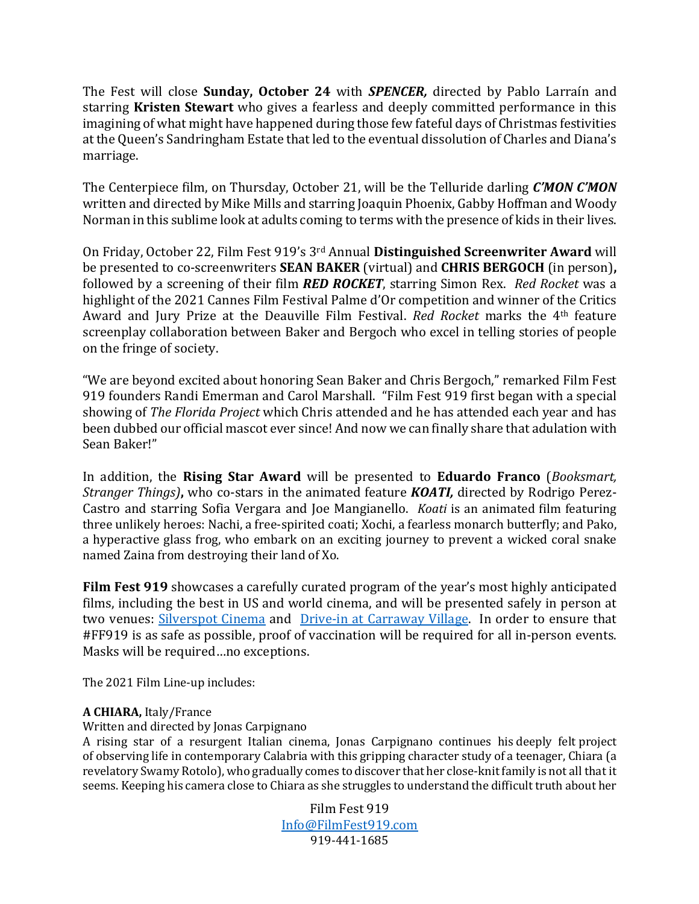The Fest will close **Sunday, October 24** with **SPENCER**, directed by Pablo Larraín and starring **Kristen Stewart** who gives a fearless and deeply committed performance in this imagining of what might have happened during those few fateful days of Christmas festivities at the Queen's Sandringham Estate that led to the eventual dissolution of Charles and Diana's marriage.

The Centerpiece film, on Thursday, October 21, will be the Telluride darling *C'MON C'MON* written and directed by Mike Mills and starring Joaquin Phoenix, Gabby Hoffman and Woody Norman in this sublime look at adults coming to terms with the presence of kids in their lives.

On Friday, October 22, Film Fest 919's 3<sup>rd</sup> Annual Distinguished Screenwriter Award will be presented to co-screenwriters **SEAN BAKER** (virtual) and **CHRIS BERGOCH** (in person), followed by a screening of their film **RED ROCKET**, starring Simon Rex. Red Rocket was a highlight of the 2021 Cannes Film Festival Palme d'Or competition and winner of the Critics Award and Jury Prize at the Deauville Film Festival. *Red Rocket* marks the 4<sup>th</sup> feature screenplay collaboration between Baker and Bergoch who excel in telling stories of people on the fringe of society.

"We are beyond excited about honoring Sean Baker and Chris Bergoch," remarked Film Fest 919 founders Randi Emerman and Carol Marshall. "Film Fest 919 first began with a special showing of *The Florida Project* which Chris attended and he has attended each year and has been dubbed our official mascot ever since! And now we can finally share that adulation with Sean Baker!"

In addition, the Rising Star Award will be presented to Eduardo Franco (*Booksmart*, *Stranger Things*), who co-stars in the animated feature *KOATI*, directed by Rodrigo Perez-Castro and starring Sofia Vergara and Joe Mangianello. *Koati* is an animated film featuring three unlikely heroes: Nachi, a free-spirited coati; Xochi, a fearless monarch butterfly; and Pako, a hyperactive glass frog, who embark on an exciting journey to prevent a wicked coral snake named Zaina from destroying their land of Xo.

**Film Fest 919** showcases a carefully curated program of the year's most highly anticipated films, including the best in US and world cinema, and will be presented safely in person at two venues: Silverspot Cinema and Drive-in at Carraway Village. In order to ensure that #FF919 is as safe as possible, proof of vaccination will be required for all in-person events. Masks will be required ... no exceptions.

The 2021 Film Line-up includes:

## A CHIARA, Italy/France

Written and directed by Jonas Carpignano

A rising star of a resurgent Italian cinema, Jonas Carpignano continues his deeply felt project of observing life in contemporary Calabria with this gripping character study of a teenager, Chiara (a revelatory Swamy Rotolo), who gradually comes to discover that her close-knit family is not all that it seems. Keeping his camera close to Chiara as she struggles to understand the difficult truth about her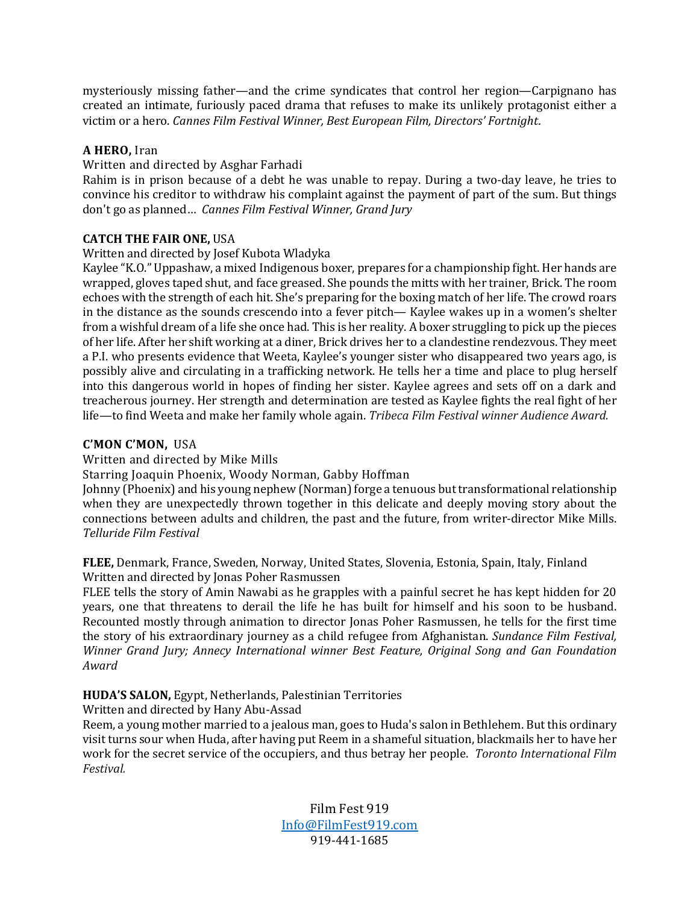mysteriously missing father—and the crime syndicates that control her region—Carpignano has created an intimate, furiously paced drama that refuses to make its unlikely protagonist either a victim or a hero. *Cannes Film Festival Winner, Best European Film, Directors' Fortnight.* 

## A HERO, Iran

## Written and directed by Asghar Farhadi

Rahim is in prison because of a debt he was unable to repay. During a two-day leave, he tries to convince his creditor to withdraw his complaint against the payment of part of the sum. But things don't go as planned... *Cannes Film Festival Winner, Grand Jury* 

## **CATCH THE FAIR ONE, USA**

## Written and directed by Josef Kubota Wladyka

Kaylee "K.O." Uppashaw, a mixed Indigenous boxer, prepares for a championship fight. Her hands are wrapped, gloves taped shut, and face greased. She pounds the mitts with her trainer, Brick. The room echoes with the strength of each hit. She's preparing for the boxing match of her life. The crowd roars in the distance as the sounds crescendo into a fever pitch— Kaylee wakes up in a women's shelter from a wishful dream of a life she once had. This is her reality. A boxer struggling to pick up the pieces of her life. After her shift working at a diner, Brick drives her to a clandestine rendezvous. They meet a P.I. who presents evidence that Weeta, Kaylee's younger sister who disappeared two years ago, is possibly alive and circulating in a trafficking network. He tells her a time and place to plug herself into this dangerous world in hopes of finding her sister. Kaylee agrees and sets off on a dark and treacherous journey. Her strength and determination are tested as Kaylee fights the real fight of her life—to find Weeta and make her family whole again. *Tribeca Film Festival winner Audience Award.* 

## **C'MON C'MON,**  USA

## Written and directed by Mike Mills

Starring Joaquin Phoenix, Woody Norman, Gabby Hoffman

Johnny (Phoenix) and his young nephew (Norman) forge a tenuous but transformational relationship when they are unexpectedly thrown together in this delicate and deeply moving story about the connections between adults and children, the past and the future, from writer-director Mike Mills. *Telluride Film Festival*

FLEE, Denmark, France, Sweden, Norway, United States, Slovenia, Estonia, Spain, Italy, Finland Written and directed by Jonas Poher Rasmussen

FLEE tells the story of Amin Nawabi as he grapples with a painful secret he has kept hidden for 20 years, one that threatens to derail the life he has built for himself and his soon to be husband. Recounted mostly through animation to director Jonas Poher Rasmussen, he tells for the first time the story of his extraordinary journey as a child refugee from Afghanistan. *Sundance Film Festival*, *Winner Grand Jury; Annecy International winner Best Feature, Original Song and Gan Foundation Award*

## **HUDA'S SALON, Egypt, Netherlands, Palestinian Territories**

Written and directed by Hany Abu-Assad

Reem, a young mother married to a jealous man, goes to Huda's salon in Bethlehem. But this ordinary visit turns sour when Huda, after having put Reem in a shameful situation, blackmails her to have her work for the secret service of the occupiers, and thus betray her people. *Toronto International Film Festival.*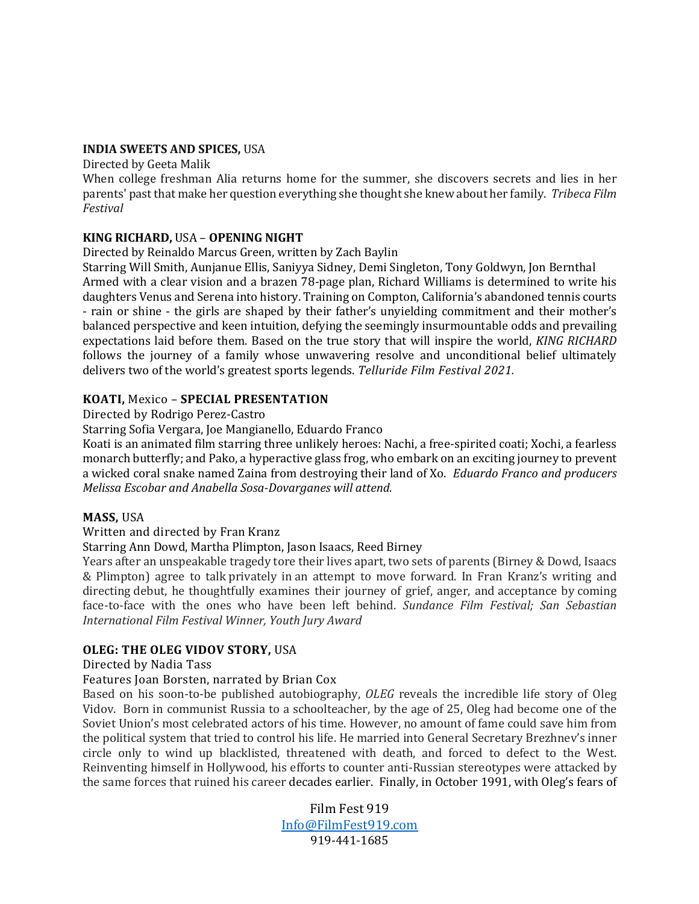#### **INDIA SWEETS AND SPICES, USA**

Directed by Geeta Malik

When college freshman Alia returns home for the summer, she discovers secrets and lies in her parents' past that make her question everything she thought she knew about her family. Tribeca Film *Festival*

## **KING RICHARD, USA - OPENING NIGHT**

## Directed by Reinaldo Marcus Green, written by Zach Baylin

Starring Will Smith, Aunjanue Ellis, Saniyya Sidney, Demi Singleton, Tony Goldwyn, Jon Bernthal Armed with a clear vision and a brazen 78-page plan, Richard Williams is determined to write his daughters Venus and Serena into history. Training on Compton, California's abandoned tennis courts - rain or shine - the girls are shaped by their father's unyielding commitment and their mother's balanced perspective and keen intuition, defying the seemingly insurmountable odds and prevailing expectations laid before them. Based on the true story that will inspire the world, *KING RICHARD* follows the journey of a family whose unwavering resolve and unconditional belief ultimately delivers two of the world's greatest sports legends. *Telluride Film Festival 2021*.

## **KOATI, Mexico - SPECIAL PRESENTATION**

Directed by Rodrigo Perez-Castro

Starring Sofia Vergara, Joe Mangianello, Eduardo Franco

Koati is an animated film starring three unlikely heroes: Nachi, a free-spirited coati; Xochi, a fearless monarch butterfly; and Pako, a hyperactive glass frog, who embark on an exciting journey to prevent a wicked coral snake named Zaina from destroying their land of Xo. *Eduardo Franco and producers Melissa Escobar and Anabella Sosa-Dovarganes will attend.*

## **MASS, USA**

## Written and directed by Fran Kranz

## Starring Ann Dowd, Martha Plimpton, Jason Isaacs, Reed Birney

Years after an unspeakable tragedy tore their lives apart, two sets of parents (Birney & Dowd, Isaacs & Plimpton) agree to talk privately in an attempt to move forward. In Fran Kranz's writing and directing debut, he thoughtfully examines their journey of grief, anger, and acceptance by coming face-to-face with the ones who have been left behind. *Sundance Film Festival; San Sebastian International Film Festival Winner, Youth Jury Award*

## **OLEG: THE OLEG VIDOV STORY, USA**

## Directed by Nadia Tass

## Features Joan Borsten, narrated by Brian Cox

Based on his soon-to-be published autobiography, *OLEG* reveals the incredible life story of Oleg Vidov. Born in communist Russia to a schoolteacher, by the age of 25, Oleg had become one of the Soviet Union's most celebrated actors of his time. However, no amount of fame could save him from the political system that tried to control his life. He married into General Secretary Brezhnev's inner circle only to wind up blacklisted, threatened with death, and forced to defect to the West. Reinventing himself in Hollywood, his efforts to counter anti-Russian stereotypes were attacked by the same forces that ruined his career decades earlier. Finally, in October 1991, with Oleg's fears of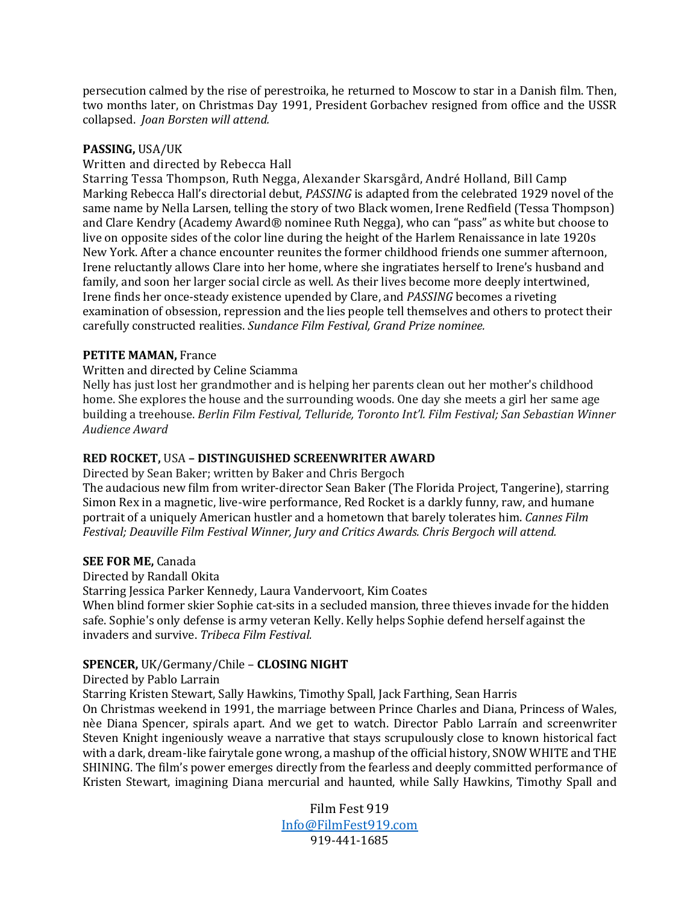persecution calmed by the rise of perestroika, he returned to Moscow to star in a Danish film. Then, two months later, on Christmas Day 1991, President Gorbachev resigned from office and the USSR collapsed. *Joan Borsten will attend.*

## **PASSING,** USA/UK

Written and directed by Rebecca Hall

Starring Tessa Thompson, Ruth Negga, Alexander Skarsgård, André Holland, Bill Camp Marking Rebecca Hall's directorial debut, *PASSING* is adapted from the celebrated 1929 novel of the same name by Nella Larsen, telling the story of two Black women, Irene Redfield (Tessa Thompson) and Clare Kendry (Academy Award® nominee Ruth Negga), who can "pass" as white but choose to live on opposite sides of the color line during the height of the Harlem Renaissance in late 1920s New York. After a chance encounter reunites the former childhood friends one summer afternoon, Irene reluctantly allows Clare into her home, where she ingratiates herself to Irene's husband and family, and soon her larger social circle as well. As their lives become more deeply intertwined, Irene finds her once-steady existence upended by Clare, and *PASSING* becomes a riveting examination of obsession, repression and the lies people tell themselves and others to protect their carefully constructed realities. Sundance Film Festival, Grand Prize nominee.

## **PETITE MAMAN, France**

## Written and directed by Celine Sciamma

Nelly has just lost her grandmother and is helping her parents clean out her mother's childhood home. She explores the house and the surrounding woods. One day she meets a girl her same age building a treehouse. *Berlin Film Festival, Telluride, Toronto Int'l. Film Festival; San Sebastian Winner Audience Award*

## **RED ROCKET,** USA **– DISTINGUISHED SCREENWRITER AWARD**

Directed by Sean Baker; written by Baker and Chris Bergoch

The audacious new film from writer-director Sean Baker (The Florida Project, Tangerine), starring Simon Rex in a magnetic, live-wire performance, Red Rocket is a darkly funny, raw, and humane portrait of a uniquely American hustler and a hometown that barely tolerates him. *Cannes Film Festival; Deauville Film Festival Winner, Jury and Critics Awards. Chris Bergoch will attend.*

## **SEE FOR ME.** Canada

Directed by Randall Okita

Starring Jessica Parker Kennedy, Laura Vandervoort, Kim Coates

When blind former skier Sophie cat-sits in a secluded mansion, three thieves invade for the hidden safe. Sophie's only defense is army veteran Kelly. Kelly helps Sophie defend herself against the invaders and survive. *Tribeca Film Festival.* 

## **SPENCER,** UK/Germany/Chile – **CLOSING NIGHT**

Directed by Pablo Larrain

Starring Kristen Stewart, Sally Hawkins, Timothy Spall, Jack Farthing, Sean Harris

On Christmas weekend in 1991, the marriage between Prince Charles and Diana, Princess of Wales, nèe Diana Spencer, spirals apart. And we get to watch. Director Pablo Larraín and screenwriter Steven Knight ingeniously weave a narrative that stays scrupulously close to known historical fact with a dark, dream-like fairytale gone wrong, a mashup of the official history, SNOW WHITE and THE SHINING. The film's power emerges directly from the fearless and deeply committed performance of Kristen Stewart, imagining Diana mercurial and haunted, while Sally Hawkins, Timothy Spall and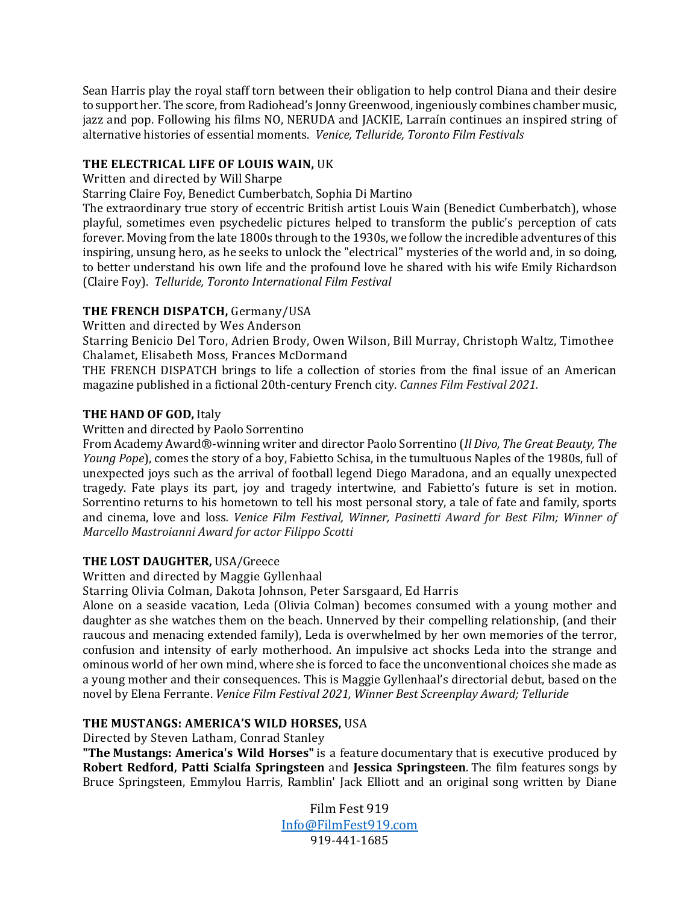Sean Harris play the royal staff torn between their obligation to help control Diana and their desire to support her. The score, from Radiohead's Jonny Greenwood, ingeniously combines chamber music, jazz and pop. Following his films NO, NERUDA and JACKIE, Larraín continues an inspired string of alternative histories of essential moments. Venice, Telluride, Toronto Film Festivals

## THE ELECTRICAL LIFE OF LOUIS WAIN, UK

Written and directed by Will Sharpe

Starring Claire Foy, Benedict Cumberbatch, Sophia Di Martino

The extraordinary true story of eccentric British artist Louis Wain (Benedict Cumberbatch), whose playful, sometimes even psychedelic pictures helped to transform the public's perception of cats forever. Moving from the late 1800s through to the 1930s, we follow the incredible adventures of this inspiring, unsung hero, as he seeks to unlock the "electrical" mysteries of the world and, in so doing, to better understand his own life and the profound love he shared with his wife Emily Richardson (Claire Foy). Telluride, Toronto International Film Festival

## **THE FRENCH DISPATCH, Germany/USA**

Written and directed by Wes Anderson

Starring Benicio Del Toro, Adrien Brody, Owen Wilson, Bill Murray, Christoph Waltz, Timothee Chalamet, Elisabeth Moss, Frances McDormand

THE FRENCH DISPATCH brings to life a collection of stories from the final issue of an American magazine published in a fictional 20th-century French city. *Cannes Film Festival 2021*.

## **THE HAND OF GOD, Italy**

Written and directed by Paolo Sorrentino

From Academy Award®-winning writer and director Paolo Sorrentino (*Il Divo, The Great Beauty, The Young Pope*), comes the story of a boy, Fabietto Schisa, in the tumultuous Naples of the 1980s, full of unexpected joys such as the arrival of football legend Diego Maradona, and an equally unexpected tragedy. Fate plays its part, joy and tragedy intertwine, and Fabietto's future is set in motion. Sorrentino returns to his hometown to tell his most personal story, a tale of fate and family, sports and cinema, love and loss. *Venice Film Festival, Winner, Pasinetti Award for Best Film; Winner of Marcello Mastroianni Award for actor Filippo Scotti*

## **THE LOST DAUGHTER, USA/Greece**

Written and directed by Maggie Gyllenhaal

Starring Olivia Colman, Dakota Johnson, Peter Sarsgaard, Ed Harris

Alone on a seaside vacation, Leda (Olivia Colman) becomes consumed with a young mother and daughter as she watches them on the beach. Unnerved by their compelling relationship, (and their raucous and menacing extended family), Leda is overwhelmed by her own memories of the terror. confusion and intensity of early motherhood. An impulsive act shocks Leda into the strange and ominous world of her own mind, where she is forced to face the unconventional choices she made as a young mother and their consequences. This is Maggie Gyllenhaal's directorial debut, based on the novel by Elena Ferrante. *Venice Film Festival 2021, Winner Best Screenplay Award; Telluride*

## **THE MUSTANGS: AMERICA'S WILD HORSES, USA**

Directed by Steven Latham, Conrad Stanley

**"The Mustangs: America's Wild Horses"** is a feature documentary that is executive produced by **Robert Redford, Patti Scialfa Springsteen** and **Jessica Springsteen**. The film features songs by Bruce Springsteen, Emmylou Harris, Ramblin' Jack Elliott and an original song written by Diane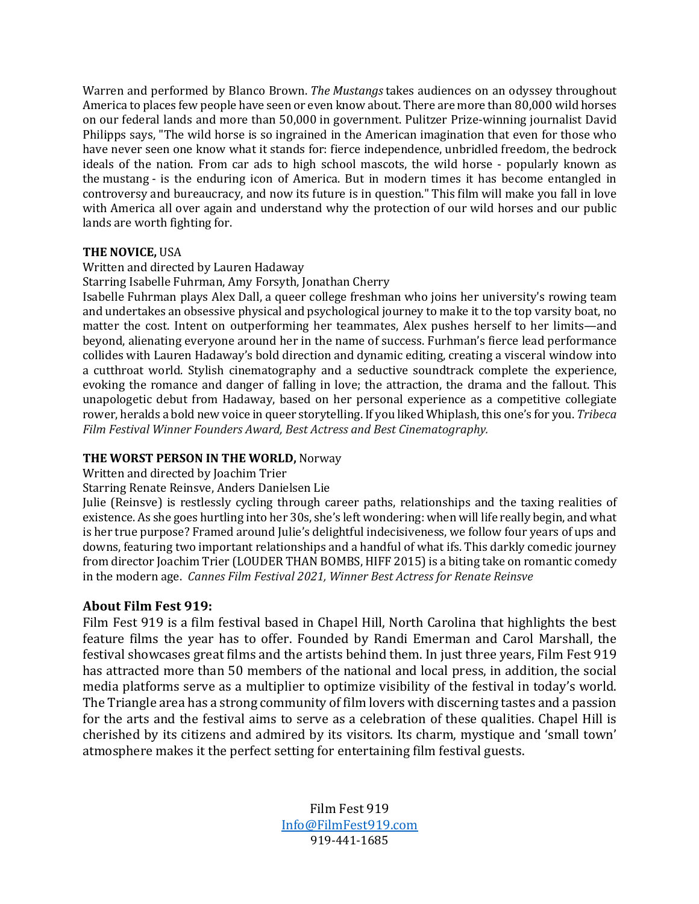Warren and performed by Blanco Brown. *The Mustangs* takes audiences on an odyssey throughout America to places few people have seen or even know about. There are more than 80,000 wild horses on our federal lands and more than 50,000 in government. Pulitzer Prize-winning journalist David Philipps says, "The wild horse is so ingrained in the American imagination that even for those who have never seen one know what it stands for: fierce independence, unbridled freedom, the bedrock ideals of the nation. From car ads to high school mascots, the wild horse - popularly known as the mustang - is the enduring icon of America. But in modern times it has become entangled in controversy and bureaucracy, and now its future is in question." This film will make you fall in love with America all over again and understand why the protection of our wild horses and our public lands are worth fighting for.

## **THE NOVICE, USA**

## Written and directed by Lauren Hadaway

Starring Isabelle Fuhrman, Amy Forsyth, Jonathan Cherry

Isabelle Fuhrman plays Alex Dall, a queer college freshman who joins her university's rowing team and undertakes an obsessive physical and psychological journey to make it to the top varsity boat, no matter the cost. Intent on outperforming her teammates, Alex pushes herself to her limits—and beyond, alienating everyone around her in the name of success. Furhman's fierce lead performance collides with Lauren Hadaway's bold direction and dynamic editing, creating a visceral window into a cutthroat world. Stylish cinematography and a seductive soundtrack complete the experience, evoking the romance and danger of falling in love; the attraction, the drama and the fallout. This unapologetic debut from Hadaway, based on her personal experience as a competitive collegiate rower, heralds a bold new voice in queer storytelling. If you liked Whiplash, this one's for you. Tribeca Film Festival Winner Founders Award, Best Actress and Best Cinematography.

## **THE WORST PERSON IN THE WORLD, Norway**

Written and directed by Joachim Trier

## Starring Renate Reinsve, Anders Danielsen Lie

Julie (Reinsve) is restlessly cycling through career paths, relationships and the taxing realities of existence. As she goes hurtling into her 30s, she's left wondering: when will life really begin, and what is her true purpose? Framed around Julie's delightful indecisiveness, we follow four years of ups and downs, featuring two important relationships and a handful of what ifs. This darkly comedic journey from director Joachim Trier (LOUDER THAN BOMBS, HIFF 2015) is a biting take on romantic comedy in the modern age. *Cannes Film Festival 2021, Winner Best Actress for Renate Reinsve* 

## **About Film Fest 919:**

Film Fest 919 is a film festival based in Chapel Hill, North Carolina that highlights the best feature films the year has to offer. Founded by Randi Emerman and Carol Marshall, the festival showcases great films and the artists behind them. In just three years, Film Fest 919 has attracted more than 50 members of the national and local press, in addition, the social media platforms serve as a multiplier to optimize visibility of the festival in today's world. The Triangle area has a strong community of film lovers with discerning tastes and a passion for the arts and the festival aims to serve as a celebration of these qualities. Chapel Hill is cherished by its citizens and admired by its visitors. Its charm, mystique and 'small town' atmosphere makes it the perfect setting for entertaining film festival guests.